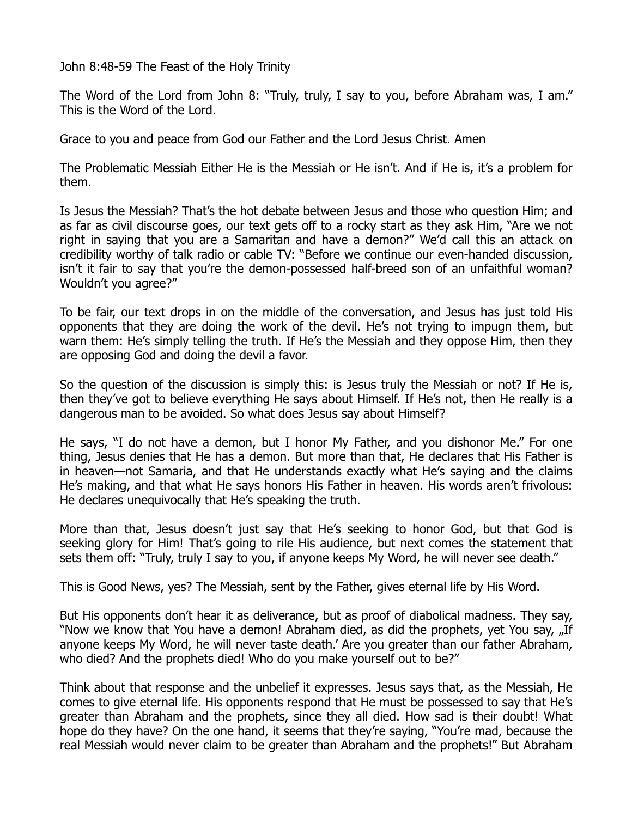John 8:48-59 The Feast of the Holy Trinity

The Word of the Lord from John 8: "Truly, truly, I say to you, before Abraham was, I am." This is the Word of the Lord.

Grace to you and peace from God our Father and the Lord Jesus Christ. Amen

The Problematic Messiah Either He is the Messiah or He isn't. And if He is, it's a problem for them.

Is Jesus the Messiah? That's the hot debate between Jesus and those who question Him; and as far as civil discourse goes, our text gets off to a rocky start as they ask Him, "Are we not right in saying that you are a Samaritan and have a demon?" We'd call this an attack on credibility worthy of talk radio or cable TV: "Before we continue our even-handed discussion, isn't it fair to say that you're the demon-possessed half-breed son of an unfaithful woman? Wouldn't you agree?"

To be fair, our text drops in on the middle of the conversation, and Jesus has just told His opponents that they are doing the work of the devil. He's not trying to impugn them, but warn them: He's simply telling the truth. If He's the Messiah and they oppose Him, then they are opposing God and doing the devil a favor.

So the question of the discussion is simply this: is Jesus truly the Messiah or not? If He is, then they've got to believe everything He says about Himself. If He's not, then He really is a dangerous man to be avoided. So what does Jesus say about Himself?

He says, "I do not have a demon, but I honor My Father, and you dishonor Me." For one thing, Jesus denies that He has a demon. But more than that, He declares that His Father is in heaven—not Samaria, and that He understands exactly what He's saying and the claims He's making, and that what He says honors His Father in heaven. His words aren't frivolous: He declares unequivocally that He's speaking the truth.

More than that, Jesus doesn't just say that He's seeking to honor God, but that God is seeking glory for Him! That's going to rile His audience, but next comes the statement that sets them off: "Truly, truly I say to you, if anyone keeps My Word, he will never see death."

This is Good News, yes? The Messiah, sent by the Father, gives eternal life by His Word.

But His opponents don't hear it as deliverance, but as proof of diabolical madness. They say, "Now we know that You have a demon! Abraham died, as did the prophets, yet You say, "If anyone keeps My Word, he will never taste death.' Are you greater than our father Abraham, who died? And the prophets died! Who do you make yourself out to be?"

Think about that response and the unbelief it expresses. Jesus says that, as the Messiah, He comes to give eternal life. His opponents respond that He must be possessed to say that He's greater than Abraham and the prophets, since they all died. How sad is their doubt! What hope do they have? On the one hand, it seems that they're saying, "You're mad, because the real Messiah would never claim to be greater than Abraham and the prophets!" But Abraham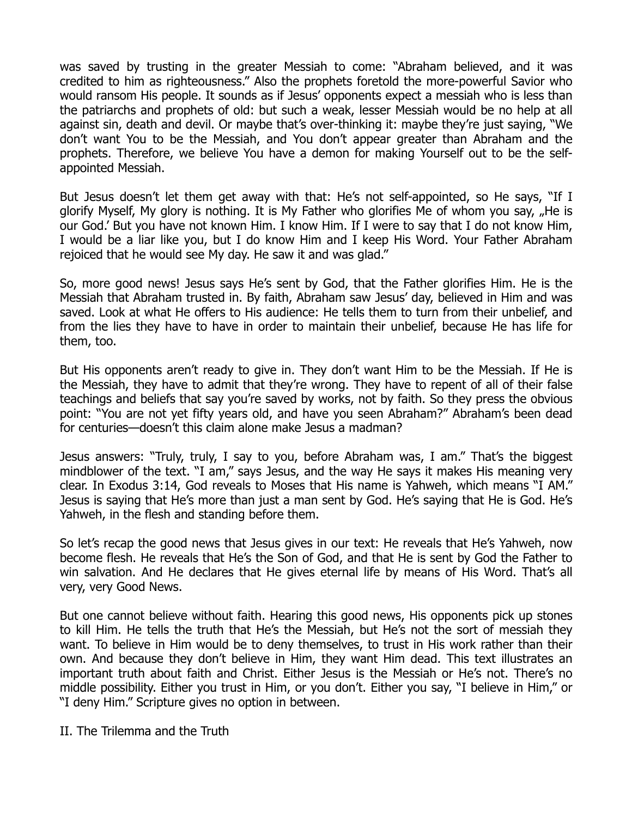was saved by trusting in the greater Messiah to come: "Abraham believed, and it was credited to him as righteousness." Also the prophets foretold the more-powerful Savior who would ransom His people. It sounds as if Jesus' opponents expect a messiah who is less than the patriarchs and prophets of old: but such a weak, lesser Messiah would be no help at all against sin, death and devil. Or maybe that's over-thinking it: maybe they're just saying, "We don't want You to be the Messiah, and You don't appear greater than Abraham and the prophets. Therefore, we believe You have a demon for making Yourself out to be the selfappointed Messiah.

But Jesus doesn't let them get away with that: He's not self-appointed, so He says, "If I glorify Myself, My glory is nothing. It is My Father who glorifies Me of whom you say, "He is our God.' But you have not known Him. I know Him. If I were to say that I do not know Him, I would be a liar like you, but I do know Him and I keep His Word. Your Father Abraham rejoiced that he would see My day. He saw it and was glad."

So, more good news! Jesus says He's sent by God, that the Father glorifies Him. He is the Messiah that Abraham trusted in. By faith, Abraham saw Jesus' day, believed in Him and was saved. Look at what He offers to His audience: He tells them to turn from their unbelief, and from the lies they have to have in order to maintain their unbelief, because He has life for them, too.

But His opponents aren't ready to give in. They don't want Him to be the Messiah. If He is the Messiah, they have to admit that they're wrong. They have to repent of all of their false teachings and beliefs that say you're saved by works, not by faith. So they press the obvious point: "You are not yet fifty years old, and have you seen Abraham?" Abraham's been dead for centuries—doesn't this claim alone make Jesus a madman?

Jesus answers: "Truly, truly, I say to you, before Abraham was, I am." That's the biggest mindblower of the text. "I am," says Jesus, and the way He says it makes His meaning very clear. In Exodus 3:14, God reveals to Moses that His name is Yahweh, which means "I AM." Jesus is saying that He's more than just a man sent by God. He's saying that He is God. He's Yahweh, in the flesh and standing before them.

So let's recap the good news that Jesus gives in our text: He reveals that He's Yahweh, now become flesh. He reveals that He's the Son of God, and that He is sent by God the Father to win salvation. And He declares that He gives eternal life by means of His Word. That's all very, very Good News.

But one cannot believe without faith. Hearing this good news, His opponents pick up stones to kill Him. He tells the truth that He's the Messiah, but He's not the sort of messiah they want. To believe in Him would be to deny themselves, to trust in His work rather than their own. And because they don't believe in Him, they want Him dead. This text illustrates an important truth about faith and Christ. Either Jesus is the Messiah or He's not. There's no middle possibility. Either you trust in Him, or you don't. Either you say, "I believe in Him," or "I deny Him." Scripture gives no option in between.

II. The Trilemma and the Truth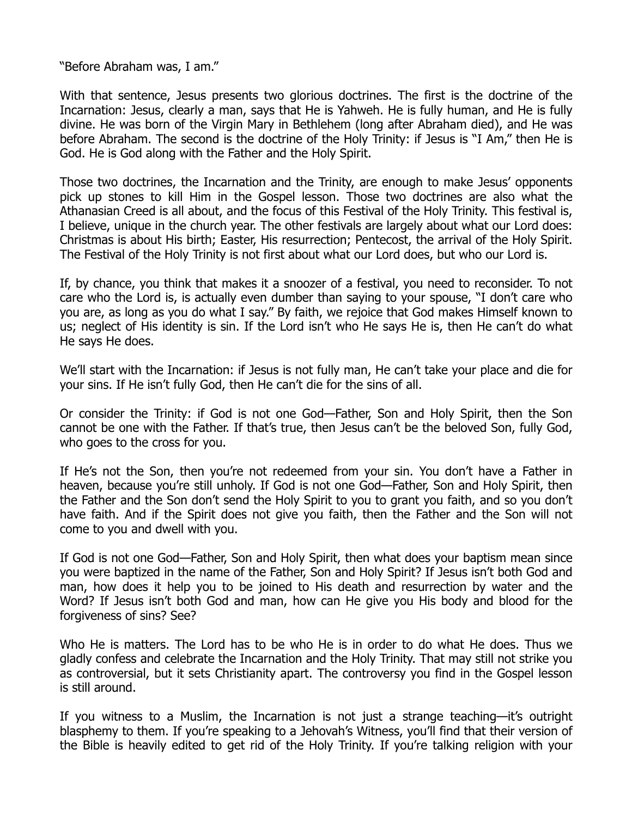"Before Abraham was, I am."

With that sentence, Jesus presents two glorious doctrines. The first is the doctrine of the Incarnation: Jesus, clearly a man, says that He is Yahweh. He is fully human, and He is fully divine. He was born of the Virgin Mary in Bethlehem (long after Abraham died), and He was before Abraham. The second is the doctrine of the Holy Trinity: if Jesus is "I Am," then He is God. He is God along with the Father and the Holy Spirit.

Those two doctrines, the Incarnation and the Trinity, are enough to make Jesus' opponents pick up stones to kill Him in the Gospel lesson. Those two doctrines are also what the Athanasian Creed is all about, and the focus of this Festival of the Holy Trinity. This festival is, I believe, unique in the church year. The other festivals are largely about what our Lord does: Christmas is about His birth; Easter, His resurrection; Pentecost, the arrival of the Holy Spirit. The Festival of the Holy Trinity is not first about what our Lord does, but who our Lord is.

If, by chance, you think that makes it a snoozer of a festival, you need to reconsider. To not care who the Lord is, is actually even dumber than saying to your spouse, "I don't care who you are, as long as you do what I say." By faith, we rejoice that God makes Himself known to us; neglect of His identity is sin. If the Lord isn't who He says He is, then He can't do what He says He does.

We'll start with the Incarnation: if Jesus is not fully man, He can't take your place and die for your sins. If He isn't fully God, then He can't die for the sins of all.

Or consider the Trinity: if God is not one God—Father, Son and Holy Spirit, then the Son cannot be one with the Father. If that's true, then Jesus can't be the beloved Son, fully God, who goes to the cross for you.

If He's not the Son, then you're not redeemed from your sin. You don't have a Father in heaven, because you're still unholy. If God is not one God—Father, Son and Holy Spirit, then the Father and the Son don't send the Holy Spirit to you to grant you faith, and so you don't have faith. And if the Spirit does not give you faith, then the Father and the Son will not come to you and dwell with you.

If God is not one God—Father, Son and Holy Spirit, then what does your baptism mean since you were baptized in the name of the Father, Son and Holy Spirit? If Jesus isn't both God and man, how does it help you to be joined to His death and resurrection by water and the Word? If Jesus isn't both God and man, how can He give you His body and blood for the forgiveness of sins? See?

Who He is matters. The Lord has to be who He is in order to do what He does. Thus we gladly confess and celebrate the Incarnation and the Holy Trinity. That may still not strike you as controversial, but it sets Christianity apart. The controversy you find in the Gospel lesson is still around.

If you witness to a Muslim, the Incarnation is not just a strange teaching—it's outright blasphemy to them. If you're speaking to a Jehovah's Witness, you'll find that their version of the Bible is heavily edited to get rid of the Holy Trinity. If you're talking religion with your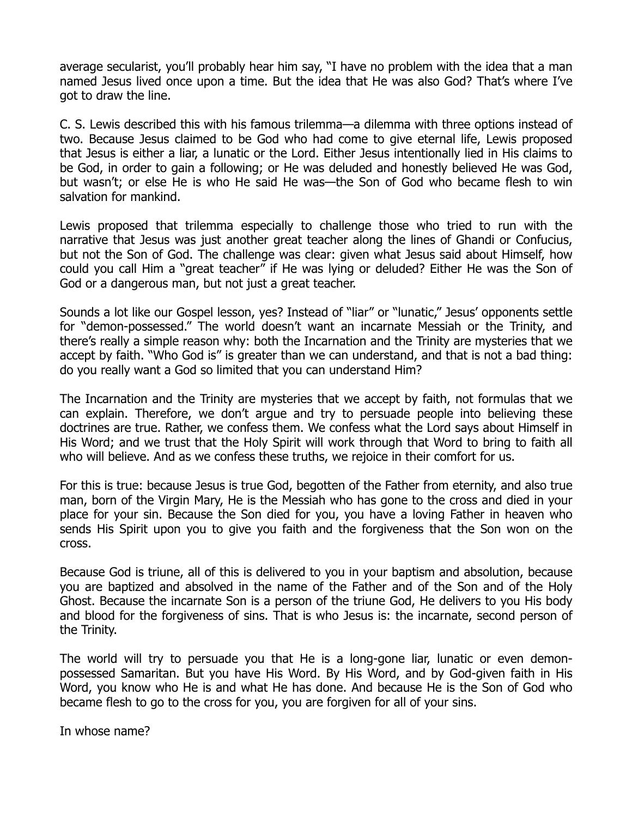average secularist, you'll probably hear him say, "I have no problem with the idea that a man named Jesus lived once upon a time. But the idea that He was also God? That's where I've got to draw the line.

C. S. Lewis described this with his famous trilemma—a dilemma with three options instead of two. Because Jesus claimed to be God who had come to give eternal life, Lewis proposed that Jesus is either a liar, a lunatic or the Lord. Either Jesus intentionally lied in His claims to be God, in order to gain a following; or He was deluded and honestly believed He was God, but wasn't; or else He is who He said He was—the Son of God who became flesh to win salvation for mankind.

Lewis proposed that trilemma especially to challenge those who tried to run with the narrative that Jesus was just another great teacher along the lines of Ghandi or Confucius, but not the Son of God. The challenge was clear: given what Jesus said about Himself, how could you call Him a "great teacher" if He was lying or deluded? Either He was the Son of God or a dangerous man, but not just a great teacher.

Sounds a lot like our Gospel lesson, yes? Instead of "liar" or "lunatic," Jesus' opponents settle for "demon-possessed." The world doesn't want an incarnate Messiah or the Trinity, and there's really a simple reason why: both the Incarnation and the Trinity are mysteries that we accept by faith. "Who God is" is greater than we can understand, and that is not a bad thing: do you really want a God so limited that you can understand Him?

The Incarnation and the Trinity are mysteries that we accept by faith, not formulas that we can explain. Therefore, we don't argue and try to persuade people into believing these doctrines are true. Rather, we confess them. We confess what the Lord says about Himself in His Word; and we trust that the Holy Spirit will work through that Word to bring to faith all who will believe. And as we confess these truths, we rejoice in their comfort for us.

For this is true: because Jesus is true God, begotten of the Father from eternity, and also true man, born of the Virgin Mary, He is the Messiah who has gone to the cross and died in your place for your sin. Because the Son died for you, you have a loving Father in heaven who sends His Spirit upon you to give you faith and the forgiveness that the Son won on the cross.

Because God is triune, all of this is delivered to you in your baptism and absolution, because you are baptized and absolved in the name of the Father and of the Son and of the Holy Ghost. Because the incarnate Son is a person of the triune God, He delivers to you His body and blood for the forgiveness of sins. That is who Jesus is: the incarnate, second person of the Trinity.

The world will try to persuade you that He is a long-gone liar, lunatic or even demonpossessed Samaritan. But you have His Word. By His Word, and by God-given faith in His Word, you know who He is and what He has done. And because He is the Son of God who became flesh to go to the cross for you, you are forgiven for all of your sins.

In whose name?